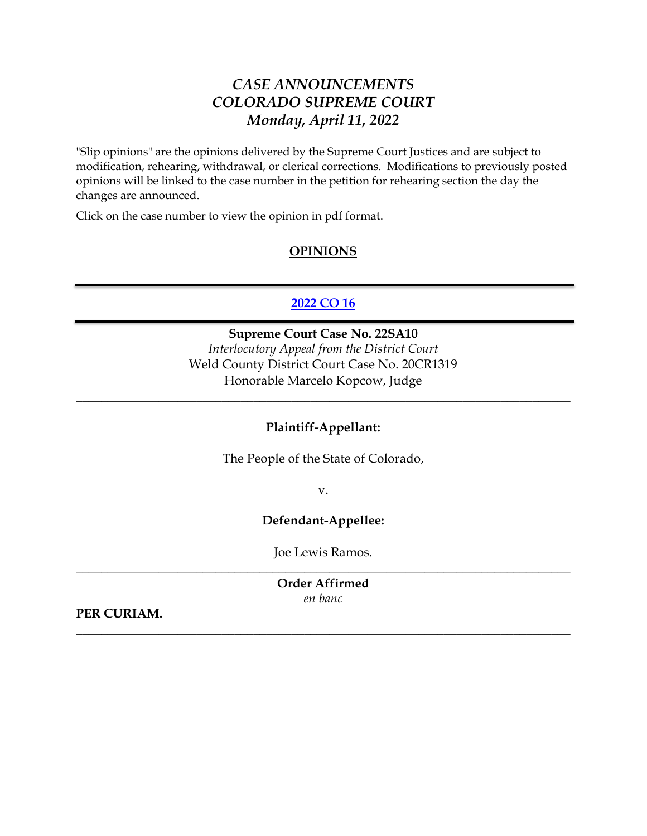# *CASE ANNOUNCEMENTS COLORADO SUPREME COURT Monday, April 11, 2022*

"Slip opinions" are the opinions delivered by the Supreme Court Justices and are subject to modification, rehearing, withdrawal, or clerical corrections. Modifications to previously posted opinions will be linked to the case number in the petition for rehearing section the day the changes are announced.

Click on the case number to view the opinion in pdf format.

### **OPINIONS**

# **[2022 CO 16](https://www.courts.state.co.us/userfiles/file/Court_Probation/Supreme_Court/Opinions/2022/22SA10.pdf)**

**Supreme Court Case No. 22SA10** *Interlocutory Appeal from the District Court* Weld County District Court Case No. 20CR1319 Honorable Marcelo Kopcow, Judge

#### **Plaintiff-Appellant:**

\_\_\_\_\_\_\_\_\_\_\_\_\_\_\_\_\_\_\_\_\_\_\_\_\_\_\_\_\_\_\_\_\_\_\_\_\_\_\_\_\_\_\_\_\_\_\_\_\_\_\_\_\_\_\_\_\_\_\_\_\_\_\_\_\_\_\_\_\_\_\_\_\_\_\_\_\_\_

The People of the State of Colorado,

v.

#### **Defendant-Appellee:**

Joe Lewis Ramos. \_\_\_\_\_\_\_\_\_\_\_\_\_\_\_\_\_\_\_\_\_\_\_\_\_\_\_\_\_\_\_\_\_\_\_\_\_\_\_\_\_\_\_\_\_\_\_\_\_\_\_\_\_\_\_\_\_\_\_\_\_\_\_\_\_\_\_\_\_\_\_\_\_\_\_\_\_\_

> **Order Affirmed** *en banc*

\_\_\_\_\_\_\_\_\_\_\_\_\_\_\_\_\_\_\_\_\_\_\_\_\_\_\_\_\_\_\_\_\_\_\_\_\_\_\_\_\_\_\_\_\_\_\_\_\_\_\_\_\_\_\_\_\_\_\_\_\_\_\_\_\_\_\_\_\_\_\_\_\_\_\_\_\_\_

**PER CURIAM.**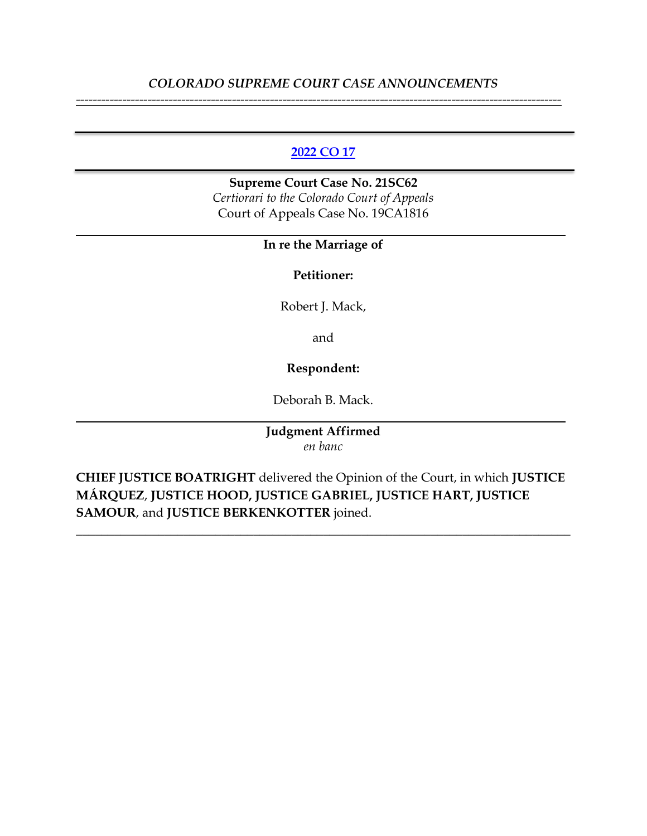# *COLORADO SUPREME COURT CASE ANNOUNCEMENTS* -------------------------------------------------------------------------------------------------------------------

# **[2022 CO 17](https://www.courts.state.co.us/userfiles/file/Court_Probation/Supreme_Court/Opinions/2021/21SC62.pdf)**

**Supreme Court Case No. 21SC62** *Certiorari to the Colorado Court of Appeals* Court of Appeals Case No. 19CA1816

# **In re the Marriage of**

#### **Petitioner:**

Robert J. Mack,

and

# **Respondent:**

Deborah B. Mack.

#### **Judgment Affirmed** *en banc*

**CHIEF JUSTICE BOATRIGHT** delivered the Opinion of the Court, in which **JUSTICE MÁRQUEZ**, **JUSTICE HOOD, JUSTICE GABRIEL, JUSTICE HART, JUSTICE SAMOUR**, and **JUSTICE BERKENKOTTER** joined.

\_\_\_\_\_\_\_\_\_\_\_\_\_\_\_\_\_\_\_\_\_\_\_\_\_\_\_\_\_\_\_\_\_\_\_\_\_\_\_\_\_\_\_\_\_\_\_\_\_\_\_\_\_\_\_\_\_\_\_\_\_\_\_\_\_\_\_\_\_\_\_\_\_\_\_\_\_\_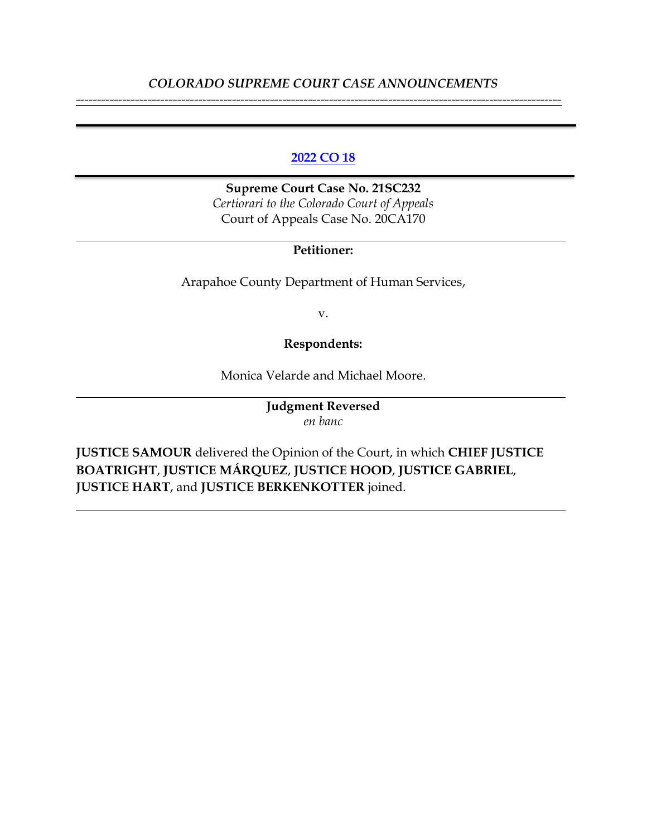# *COLORADO SUPREME COURT CASE ANNOUNCEMENTS* -------------------------------------------------------------------------------------------------------------------

# **[2022 CO 18](https://www.courts.state.co.us/userfiles/file/Court_Probation/Supreme_Court/Opinions/2021/21SC232.pdf)**

**Supreme Court Case No. 21SC232** *Certiorari to the Colorado Court of Appeals* Court of Appeals Case No. 20CA170

### **Petitioner:**

Arapahoe County Department of Human Services,

v.

# **Respondents:**

Monica Velarde and Michael Moore.

**Judgment Reversed** *en banc*

**JUSTICE SAMOUR** delivered the Opinion of the Court, in which **CHIEF JUSTICE BOATRIGHT**, **JUSTICE MÁRQUEZ**, **JUSTICE HOOD**, **JUSTICE GABRIEL**, **JUSTICE HART**, and **JUSTICE BERKENKOTTER** joined.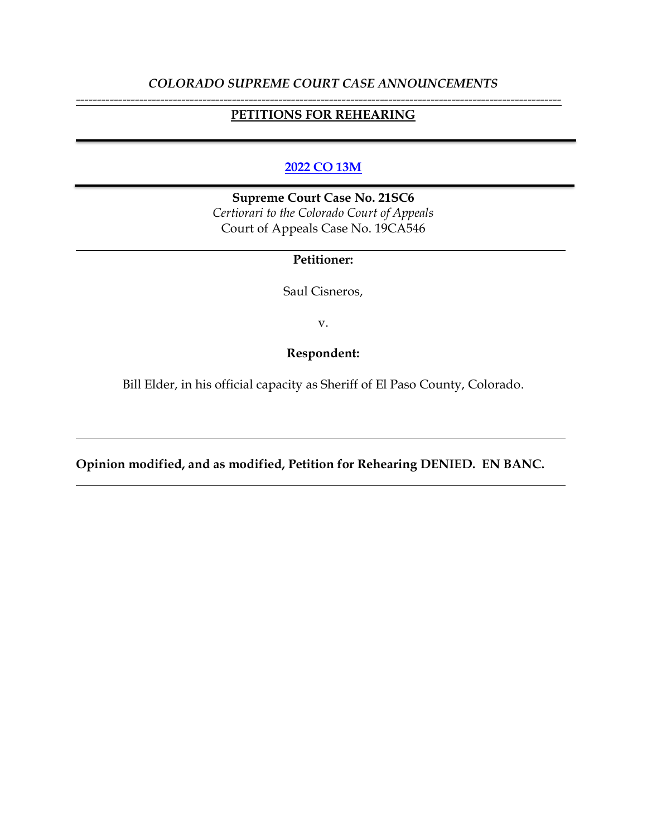#### ------------------------------------------------------------------------------------------------------------------- **PETITIONS FOR REHEARING**

# **[2022 CO 13M](https://www.courts.state.co.us/userfiles/file/Court_Probation/Supreme_Court/Opinions/2021/21SC6.pdf)**

**Supreme Court Case No. 21SC6** *Certiorari to the Colorado Court of Appeals* Court of Appeals Case No. 19CA546

### **Petitioner:**

Saul Cisneros,

v.

# **Respondent:**

Bill Elder, in his official capacity as Sheriff of El Paso County, Colorado.

**Opinion modified, and as modified, Petition for Rehearing DENIED. EN BANC.**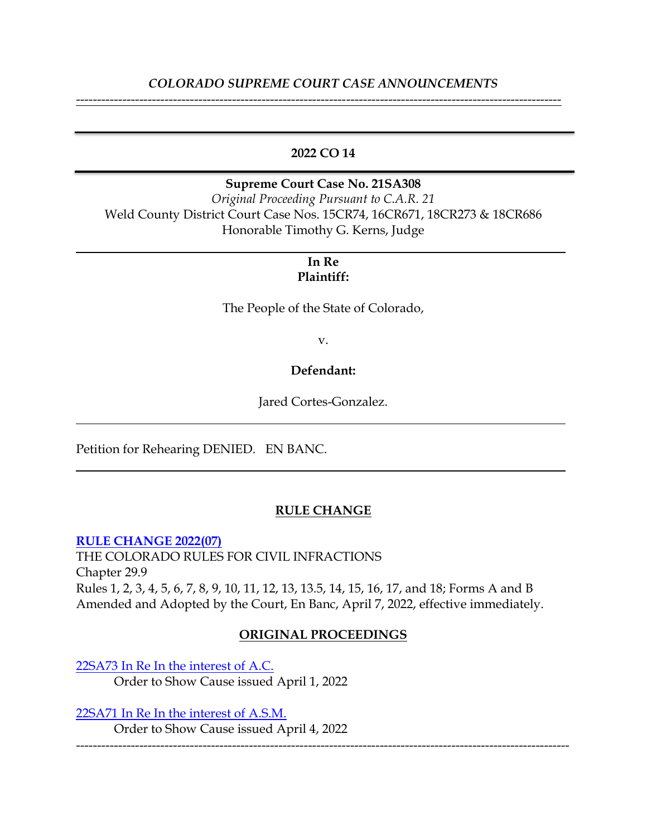# *COLORADO SUPREME COURT CASE ANNOUNCEMENTS* -------------------------------------------------------------------------------------------------------------------

# **2022 CO 14**

**Supreme Court Case No. 21SA308** *Original Proceeding Pursuant to C.A.R. 21* Weld County District Court Case Nos. 15CR74, 16CR671, 18CR273 & 18CR686 Honorable Timothy G. Kerns, Judge

#### **In Re Plaintiff:**

The People of the State of Colorado,

v.

# **Defendant:**

Jared Cortes-Gonzalez.

Petition for Rehearing DENIED. EN BANC.

# **RULE CHANGE**

#### **[RULE CHANGE 2022\(07\)](https://www.courts.state.co.us/userfiles/file/Court_Probation/Supreme_Court/Rule_Changes/2022/Rule%20Change%202022(07).pdf)**

THE COLORADO RULES FOR CIVIL INFRACTIONS Chapter 29.9 Rules 1, 2, 3, 4, 5, 6, 7, 8, 9, 10, 11, 12, 13, 13.5, 14, 15, 16, 17, and 18; Forms A and B Amended and Adopted by the Court, En Banc, April 7, 2022, effective immediately.

# **ORIGINAL PROCEEDINGS**

---------------------------------------------------------------------------------------------------------------------

[22SA73 In Re In the interest of A.C.](https://www.courts.state.co.us/Courts/Supreme_Court/Proceedings/Index.cfm) Order to Show Cause issued April 1, 2022

[22SA71 In Re In the interest of A.S.M.](https://www.courts.state.co.us/Courts/Supreme_Court/Proceedings/Index.cfm) Order to Show Cause issued April 4, 2022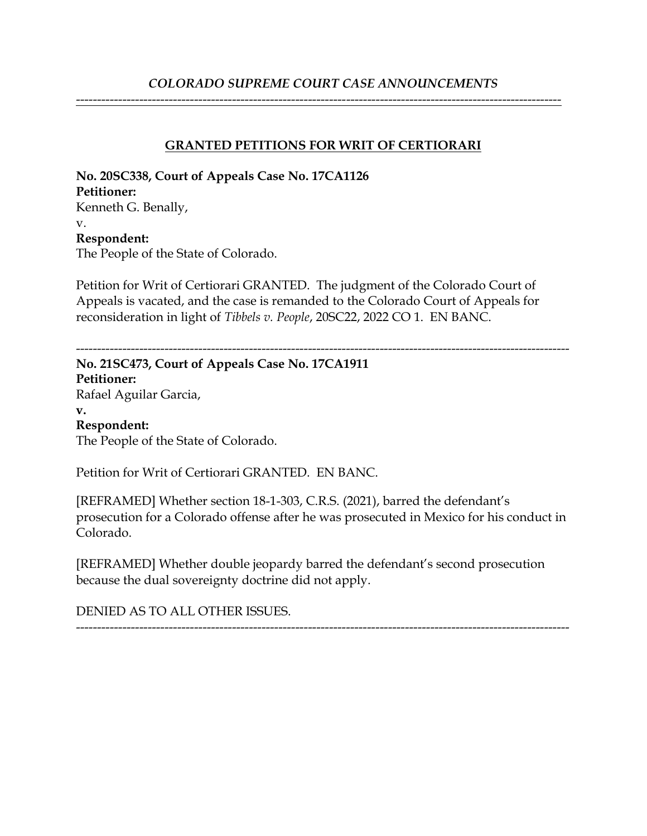-------------------------------------------------------------------------------------------------------------------

**GRANTED PETITIONS FOR WRIT OF CERTIORARI**

**No. 20SC338, Court of Appeals Case No. 17CA1126 Petitioner:** Kenneth G. Benally, v. **Respondent:** The People of the State of Colorado.

Petition for Writ of Certiorari GRANTED. The judgment of the Colorado Court of Appeals is vacated, and the case is remanded to the Colorado Court of Appeals for reconsideration in light of *Tibbels v. People*, 20SC22, 2022 CO 1. EN BANC.

--------------------------------------------------------------------------------------------------------------------- **No. 21SC473, Court of Appeals Case No. 17CA1911 Petitioner:** Rafael Aguilar Garcia, **v. Respondent:** The People of the State of Colorado.

Petition for Writ of Certiorari GRANTED. EN BANC.

[REFRAMED] Whether section 18-1-303, C.R.S. (2021), barred the defendant's prosecution for a Colorado offense after he was prosecuted in Mexico for his conduct in Colorado.

[REFRAMED] Whether double jeopardy barred the defendant's second prosecution because the dual sovereignty doctrine did not apply.

---------------------------------------------------------------------------------------------------------------------

DENIED AS TO ALL OTHER ISSUES.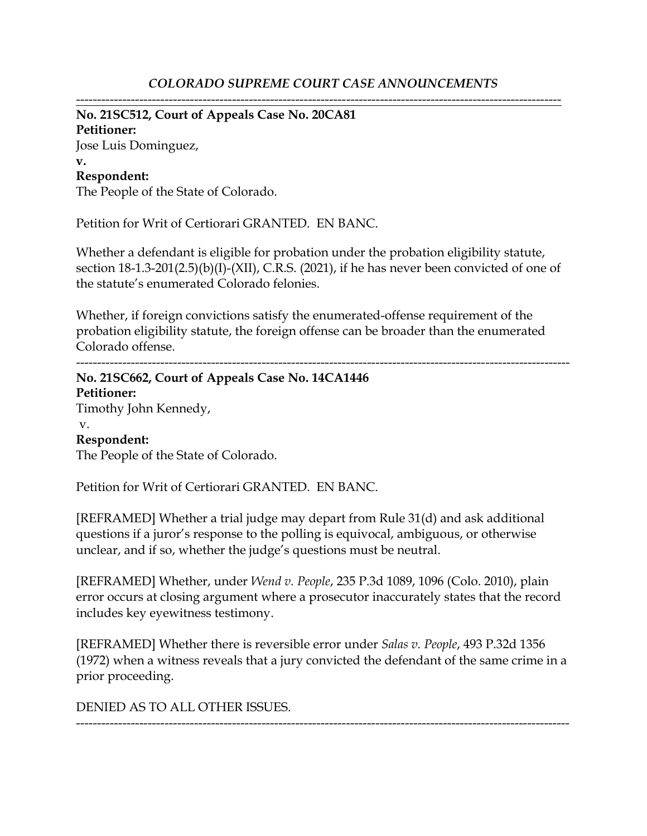------------------------------------------------------------------------------------------------------------------- **No. 21SC512, Court of Appeals Case No. 20CA81 Petitioner:** Jose Luis Dominguez,

# **v.**

#### **Respondent:**

The People of the State of Colorado.

Petition for Writ of Certiorari GRANTED. EN BANC.

Whether a defendant is eligible for probation under the probation eligibility statute, section 18-1.3-201(2.5)(b)(I)-(XII), C.R.S. (2021), if he has never been convicted of one of the statute's enumerated Colorado felonies.

Whether, if foreign convictions satisfy the enumerated-offense requirement of the probation eligibility statute, the foreign offense can be broader than the enumerated Colorado offense.

---------------------------------------------------------------------------------------------------------------------

**No. 21SC662, Court of Appeals Case No. 14CA1446 Petitioner:**  Timothy John Kennedy, v. **Respondent:** 

The People of the State of Colorado.

Petition for Writ of Certiorari GRANTED. EN BANC.

[REFRAMED] Whether a trial judge may depart from Rule 31(d) and ask additional questions if a juror's response to the polling is equivocal, ambiguous, or otherwise unclear, and if so, whether the judge's questions must be neutral.

[REFRAMED] Whether, under *Wend v. People*, 235 P.3d 1089, 1096 (Colo. 2010), plain error occurs at closing argument where a prosecutor inaccurately states that the record includes key eyewitness testimony.

[REFRAMED] Whether there is reversible error under *Salas v. People*, 493 P.32d 1356 (1972) when a witness reveals that a jury convicted the defendant of the same crime in a prior proceeding.

---------------------------------------------------------------------------------------------------------------------

DENIED AS TO ALL OTHER ISSUES.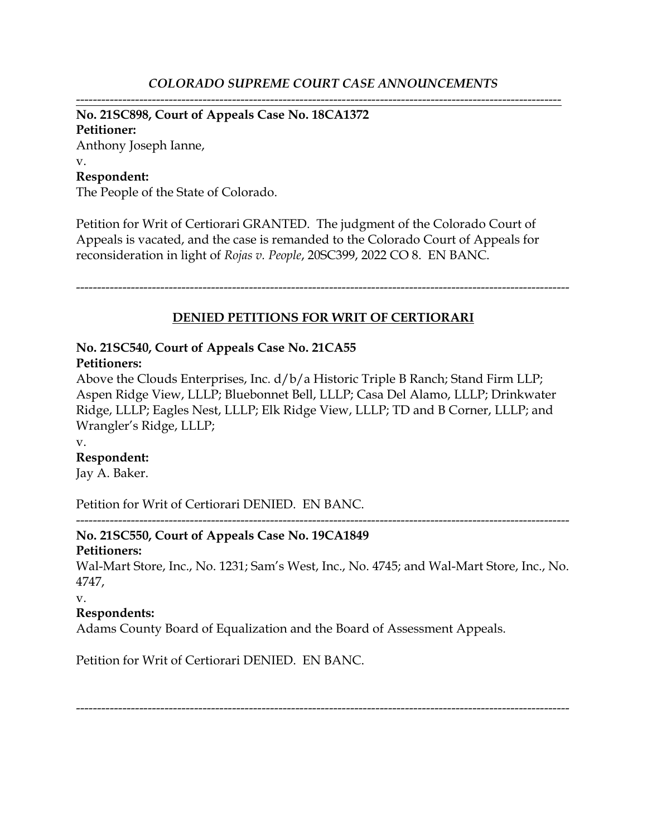-------------------------------------------------------------------------------------------------------------------

**No. 21SC898, Court of Appeals Case No. 18CA1372 Petitioner:** Anthony Joseph Ianne, v.

# **Respondent:**

The People of the State of Colorado.

Petition for Writ of Certiorari GRANTED. The judgment of the Colorado Court of Appeals is vacated, and the case is remanded to the Colorado Court of Appeals for reconsideration in light of *Rojas v. People*, 20SC399, 2022 CO 8. EN BANC.

---------------------------------------------------------------------------------------------------------------------

# **DENIED PETITIONS FOR WRIT OF CERTIORARI**

#### **No. 21SC540, Court of Appeals Case No. 21CA55 Petitioners:**

Above the Clouds Enterprises, Inc. d/b/a Historic Triple B Ranch; Stand Firm LLP;

Aspen Ridge View, LLLP; Bluebonnet Bell, LLLP; Casa Del Alamo, LLLP; Drinkwater Ridge, LLLP; Eagles Nest, LLLP; Elk Ridge View, LLLP; TD and B Corner, LLLP; and Wrangler's Ridge, LLLP;

v.

# **Respondent:**

Jay A. Baker.

Petition for Writ of Certiorari DENIED. EN BANC.

# **No. 21SC550, Court of Appeals Case No. 19CA1849**

# **Petitioners:**

Wal-Mart Store, Inc., No. 1231; Sam's West, Inc., No. 4745; and Wal-Mart Store, Inc., No. 4747,

---------------------------------------------------------------------------------------------------------------------

---------------------------------------------------------------------------------------------------------------------

v.

# **Respondents:**

Adams County Board of Equalization and the Board of Assessment Appeals.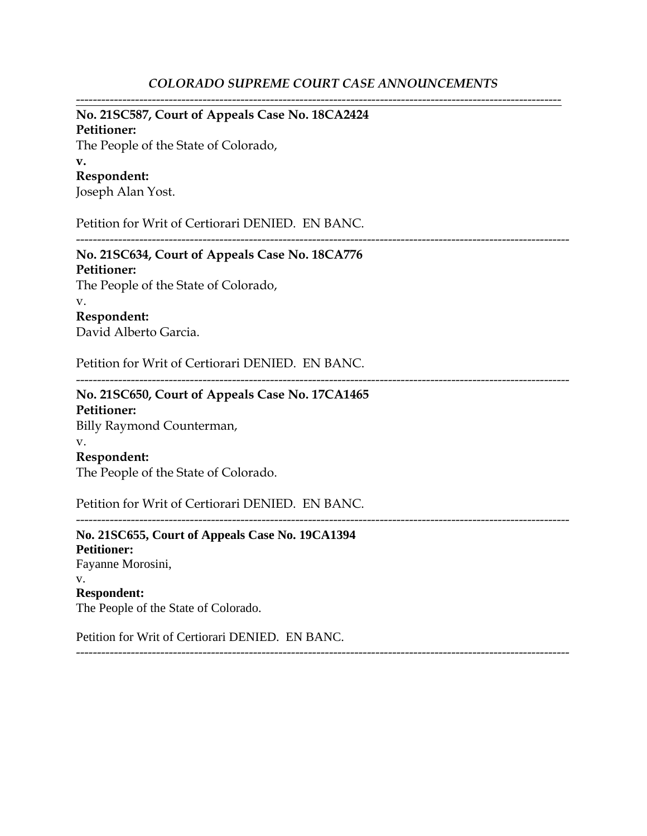-------------------------------------------------------------------------------------------------------------------

#### **No. 21SC587, Court of Appeals Case No. 18CA2424**

#### **Petitioner:**

The People of the State of Colorado, **v. Respondent:**

Joseph Alan Yost.

Petition for Writ of Certiorari DENIED. EN BANC. ---------------------------------------------------------------------------------------------------------------------

# **No. 21SC634, Court of Appeals Case No. 18CA776**

**Petitioner:** The People of the State of Colorado, v. **Respondent:** David Alberto Garcia.

Petition for Writ of Certiorari DENIED. EN BANC.

---------------------------------------------------------------------------------------------------------------------

#### **No. 21SC650, Court of Appeals Case No. 17CA1465 Petitioner:**

Billy Raymond Counterman,

#### v.

#### **Respondent:**

The People of the State of Colorado.

Petition for Writ of Certiorari DENIED. EN BANC.

---------------------------------------------------------------------------------------------------------------------

---------------------------------------------------------------------------------------------------------------------

# **No. 21SC655, Court of Appeals Case No. 19CA1394 Petitioner:** Fayanne Morosini, v. **Respondent:** The People of the State of Colorado.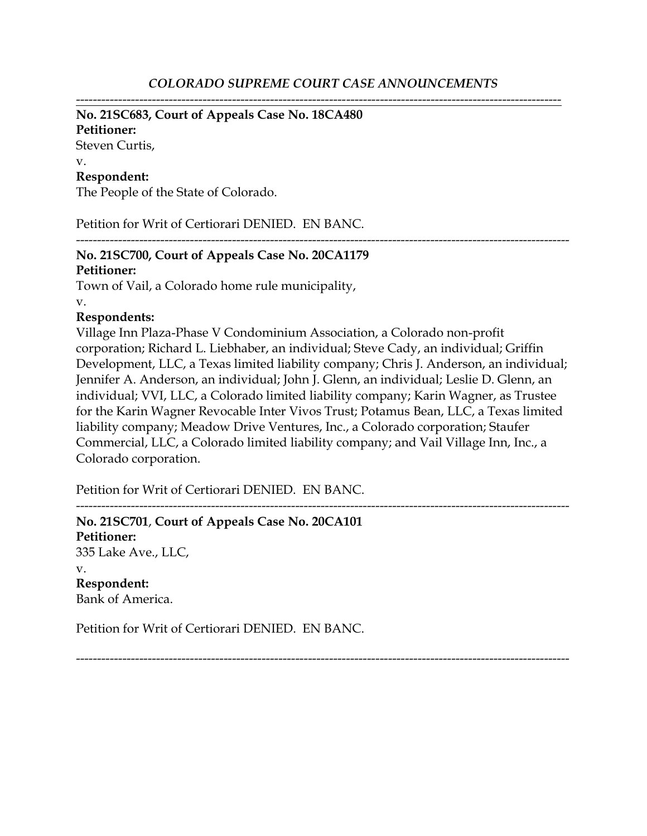#### ------------------------------------------------------------------------------------------------------------------- **No. 21SC683, Court of Appeals Case No. 18CA480**

### **Petitioner:**

Steven Curtis,

v.

# **Respondent:**

The People of the State of Colorado.

Petition for Writ of Certiorari DENIED. EN BANC.

# --------------------------------------------------------------------------------------------------------------------- **No. 21SC700, Court of Appeals Case No. 20CA1179**

**Petitioner:**

Town of Vail, a Colorado home rule municipality,

v.

# **Respondents:**

Village Inn Plaza-Phase V Condominium Association, a Colorado non-profit corporation; Richard L. Liebhaber, an individual; Steve Cady, an individual; Griffin Development, LLC, a Texas limited liability company; Chris J. Anderson, an individual; Jennifer A. Anderson, an individual; John J. Glenn, an individual; Leslie D. Glenn, an individual; VVI, LLC, a Colorado limited liability company; Karin Wagner, as Trustee for the Karin Wagner Revocable Inter Vivos Trust; Potamus Bean, LLC, a Texas limited liability company; Meadow Drive Ventures, Inc., a Colorado corporation; Staufer Commercial, LLC, a Colorado limited liability company; and Vail Village Inn, Inc., a Colorado corporation.

Petition for Writ of Certiorari DENIED. EN BANC.

--------------------------------------------------------------------------------------------------------------------- **No. 21SC701**, **Court of Appeals Case No. 20CA101 Petitioner:** 335 Lake Ave., LLC, v. **Respondent:** Bank of America.

Petition for Writ of Certiorari DENIED. EN BANC.

---------------------------------------------------------------------------------------------------------------------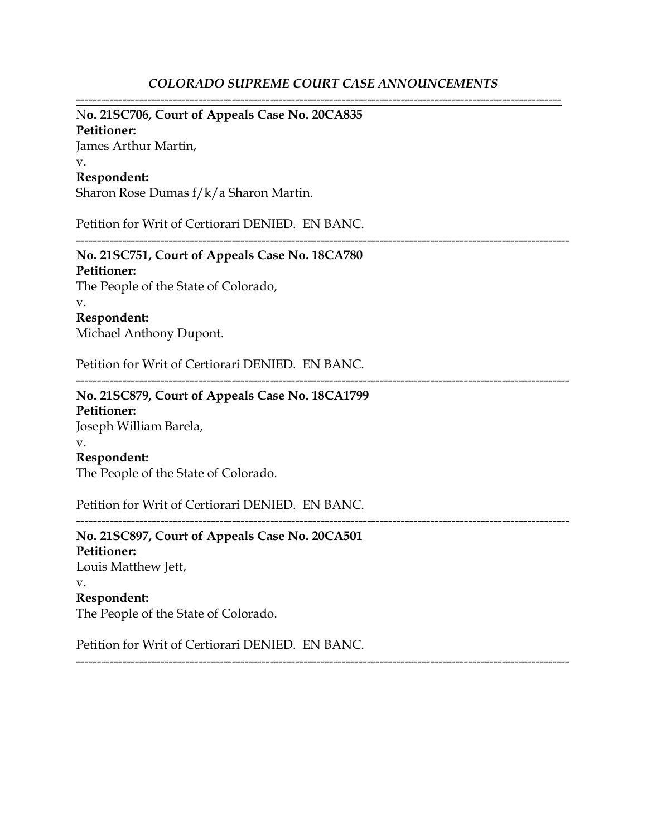-------------------------------------------------------------------------------------------------------------------

### N**o. 21SC706, Court of Appeals Case No. 20CA835**

#### **Petitioner:**

James Arthur Martin,

#### v.

#### **Respondent:**

Sharon Rose Dumas f/k/a Sharon Martin.

Petition for Writ of Certiorari DENIED. EN BANC.

---------------------------------------------------------------------------------------------------------------------

#### **No. 21SC751, Court of Appeals Case No. 18CA780 Petitioner:**

The People of the State of Colorado,

# v.

**Respondent:**

Michael Anthony Dupont.

Petition for Writ of Certiorari DENIED. EN BANC.

---------------------------------------------------------------------------------------------------------------------

# **No. 21SC879, Court of Appeals Case No. 18CA1799 Petitioner:**

Joseph William Barela,

#### v. **Respondent:**

The People of the State of Colorado.

Petition for Writ of Certiorari DENIED. EN BANC.

---------------------------------------------------------------------------------------------------------------------

# **No. 21SC897, Court of Appeals Case No. 20CA501 Petitioner:** Louis Matthew Jett, v. **Respondent:** The People of the State of Colorado.

Petition for Writ of Certiorari DENIED. EN BANC.

---------------------------------------------------------------------------------------------------------------------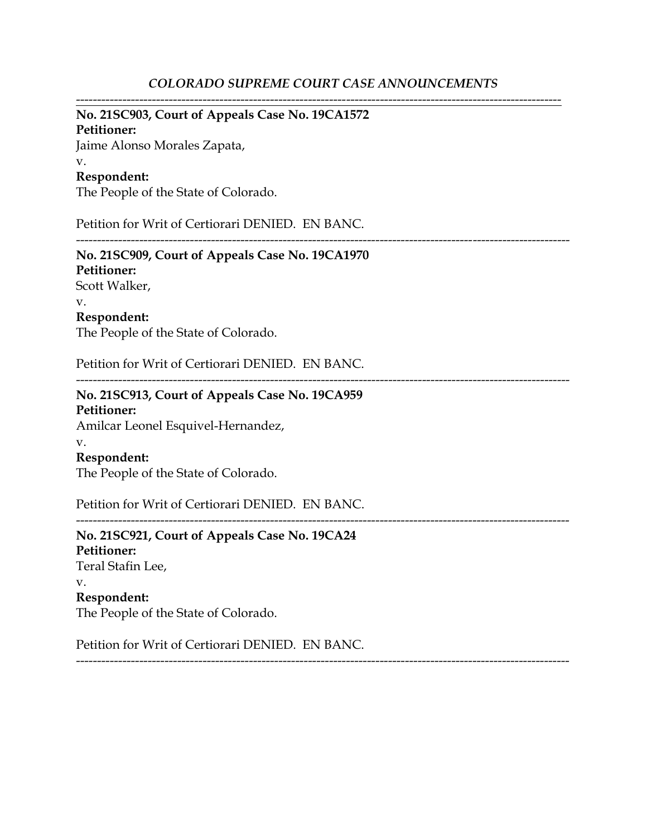-------------------------------------------------------------------------------------------------------------------

# **No. 21SC903, Court of Appeals Case No. 19CA1572**

#### **Petitioner:**

Jaime Alonso Morales Zapata,

#### v.

# **Respondent:**

The People of the State of Colorado.

Petition for Writ of Certiorari DENIED. EN BANC.

#### --------------------------------------------------------------------------------------------------------------------- **No. 21SC909, Court of Appeals Case No. 19CA1970**

**Petitioner:**

Scott Walker,

v.

# **Respondent:**

The People of the State of Colorado.

Petition for Writ of Certiorari DENIED. EN BANC.

---------------------------------------------------------------------------------------------------------------------

# **No. 21SC913, Court of Appeals Case No. 19CA959**

#### **Petitioner:**

Amilcar Leonel Esquivel-Hernandez,

#### v.

# **Respondent:**

The People of the State of Colorado.

Petition for Writ of Certiorari DENIED. EN BANC.

---------------------------------------------------------------------------------------------------------------------

---------------------------------------------------------------------------------------------------------------------

# **No. 21SC921, Court of Appeals Case No. 19CA24 Petitioner:** Teral Stafin Lee,

v.

# **Respondent:**

The People of the State of Colorado.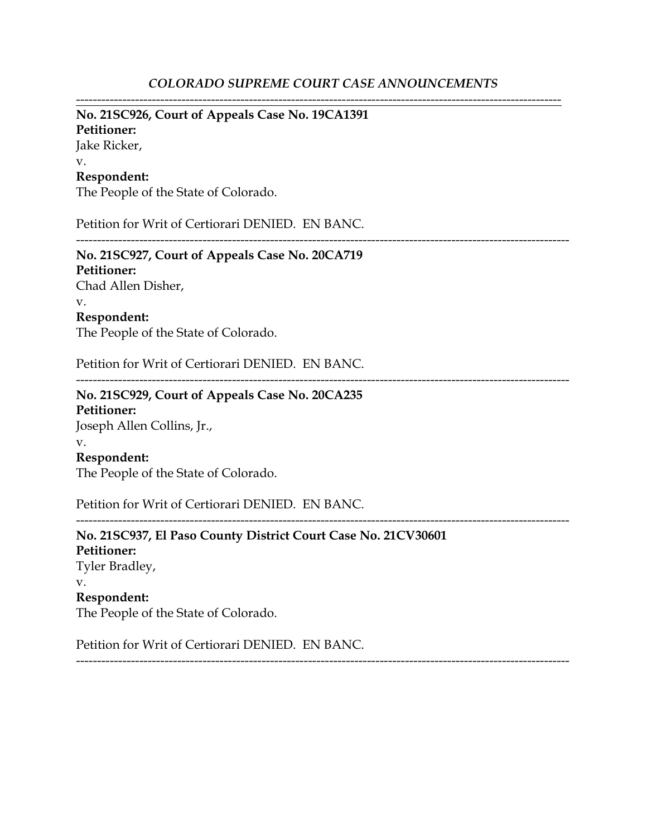-------------------------------------------------------------------------------------------------------------------

# **No. 21SC926, Court of Appeals Case No. 19CA1391**

#### **Petitioner:**

Jake Ricker,

# v.

#### **Respondent:**

The People of the State of Colorado.

Petition for Writ of Certiorari DENIED. EN BANC.

#### --------------------------------------------------------------------------------------------------------------------- **No. 21SC927, Court of Appeals Case No. 20CA719**

**Petitioner:** Chad Allen Disher, v. **Respondent:**

The People of the State of Colorado.

Petition for Writ of Certiorari DENIED. EN BANC.

---------------------------------------------------------------------------------------------------------------------

# **No. 21SC929, Court of Appeals Case No. 20CA235**

**Petitioner:** Joseph Allen Collins, Jr., v. **Respondent:**

The People of the State of Colorado.

Petition for Writ of Certiorari DENIED. EN BANC.

---------------------------------------------------------------------------------------------------------------------

---------------------------------------------------------------------------------------------------------------------

# **No. 21SC937, El Paso County District Court Case No. 21CV30601**

**Petitioner:** Tyler Bradley, v. **Respondent:** The People of the State of Colorado.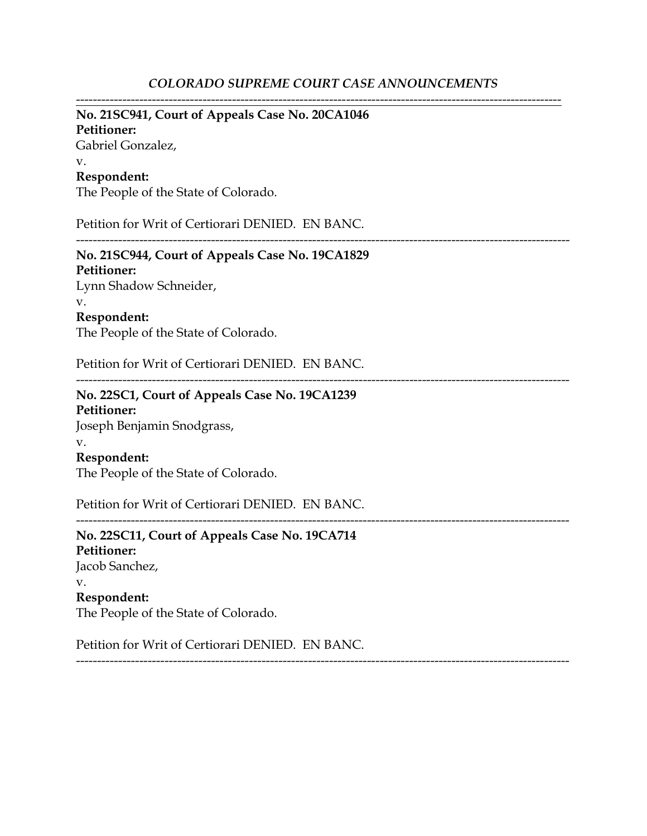-------------------------------------------------------------------------------------------------------------------

# **No. 21SC941, Court of Appeals Case No. 20CA1046**

**Petitioner:**

Gabriel Gonzalez,

v.

#### **Respondent:**

The People of the State of Colorado.

Petition for Writ of Certiorari DENIED. EN BANC.

---------------------------------------------------------------------------------------------------------------------

# **No. 21SC944, Court of Appeals Case No. 19CA1829**

**Petitioner:** Lynn Shadow Schneider, v. **Respondent:** The People of the State of Colorado.

Petition for Writ of Certiorari DENIED. EN BANC.

---------------------------------------------------------------------------------------------------------------------

# **No. 22SC1, Court of Appeals Case No. 19CA1239**

**Petitioner:**

Joseph Benjamin Snodgrass,

#### v.

#### **Respondent:**

The People of the State of Colorado.

Petition for Writ of Certiorari DENIED. EN BANC.

---------------------------------------------------------------------------------------------------------------------

---------------------------------------------------------------------------------------------------------------------

**No. 22SC11, Court of Appeals Case No. 19CA714 Petitioner:** Jacob Sanchez, v. **Respondent:**

The People of the State of Colorado.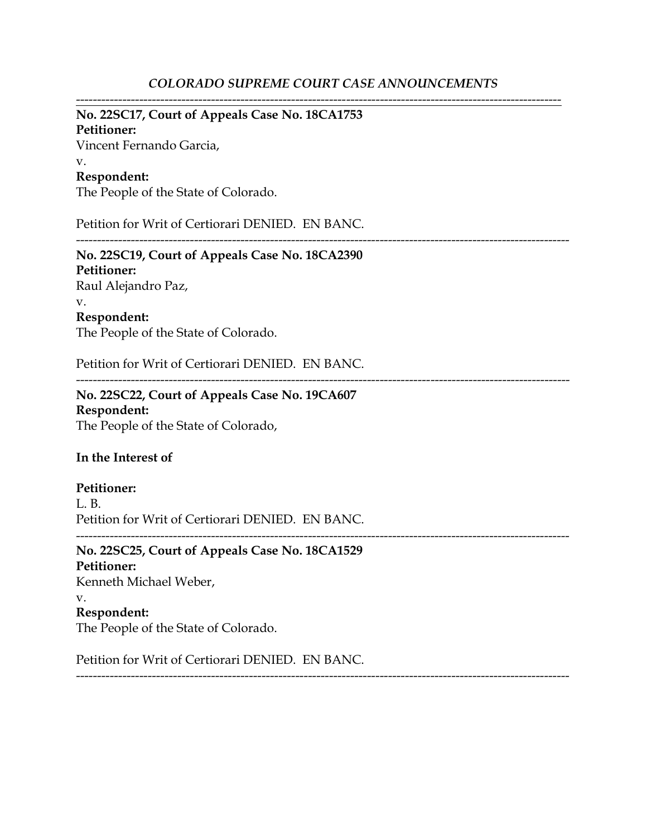-------------------------------------------------------------------------------------------------------------------

### **No. 22SC17, Court of Appeals Case No. 18CA1753**

#### **Petitioner:**

Vincent Fernando Garcia, v.

#### **Respondent:**

The People of the State of Colorado.

Petition for Writ of Certiorari DENIED. EN BANC.

---------------------------------------------------------------------------------------------------------------------

# **No. 22SC19, Court of Appeals Case No. 18CA2390**

**Petitioner:** Raul Alejandro Paz, v. **Respondent:** The People of the State of Colorado.

Petition for Writ of Certiorari DENIED. EN BANC.

---------------------------------------------------------------------------------------------------------------------

---------------------------------------------------------------------------------------------------------------------

# **No. 22SC22, Court of Appeals Case No. 19CA607 Respondent:**

The People of the State of Colorado,

#### **In the Interest of**

#### **Petitioner:**

L. B. Petition for Writ of Certiorari DENIED. EN BANC. ---------------------------------------------------------------------------------------------------------------------

#### **No. 22SC25, Court of Appeals Case No. 18CA1529**

**Petitioner:** Kenneth Michael Weber, v. **Respondent:** The People of the State of Colorado.